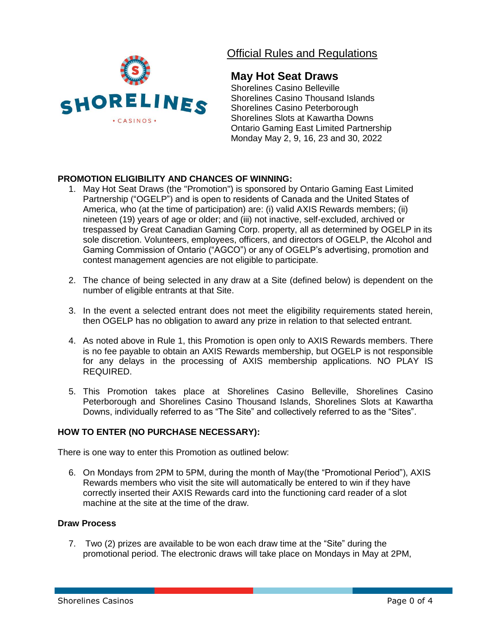

# Official Rules and Regulations

# **May Hot Seat Draws**

Shorelines Casino Belleville Shorelines Casino Thousand Islands Shorelines Casino Peterborough Shorelines Slots at Kawartha Downs Ontario Gaming East Limited Partnership Monday May 2, 9, 16, 23 and 30, 2022

## **PROMOTION ELIGIBILITY AND CHANCES OF WINNING:**

- 1. May Hot Seat Draws (the "Promotion") is sponsored by Ontario Gaming East Limited Partnership ("OGELP") and is open to residents of Canada and the United States of America, who (at the time of participation) are: (i) valid AXIS Rewards members; (ii) nineteen (19) years of age or older; and (iii) not inactive, self-excluded, archived or trespassed by Great Canadian Gaming Corp. property, all as determined by OGELP in its sole discretion. Volunteers, employees, officers, and directors of OGELP, the Alcohol and Gaming Commission of Ontario ("AGCO") or any of OGELP's advertising, promotion and contest management agencies are not eligible to participate.
- 2. The chance of being selected in any draw at a Site (defined below) is dependent on the number of eligible entrants at that Site.
- 3. In the event a selected entrant does not meet the eligibility requirements stated herein, then OGELP has no obligation to award any prize in relation to that selected entrant.
- 4. As noted above in Rule 1, this Promotion is open only to AXIS Rewards members. There is no fee payable to obtain an AXIS Rewards membership, but OGELP is not responsible for any delays in the processing of AXIS membership applications. NO PLAY IS REQUIRED.
- 5. This Promotion takes place at Shorelines Casino Belleville, Shorelines Casino Peterborough and Shorelines Casino Thousand Islands, Shorelines Slots at Kawartha Downs, individually referred to as "The Site" and collectively referred to as the "Sites".

### **HOW TO ENTER (NO PURCHASE NECESSARY):**

There is one way to enter this Promotion as outlined below:

6. On Mondays from 2PM to 5PM, during the month of May(the "Promotional Period"), AXIS Rewards members who visit the site will automatically be entered to win if they have correctly inserted their AXIS Rewards card into the functioning card reader of a slot machine at the site at the time of the draw.

#### **Draw Process**

7. Two (2) prizes are available to be won each draw time at the "Site" during the promotional period. The electronic draws will take place on Mondays in May at 2PM,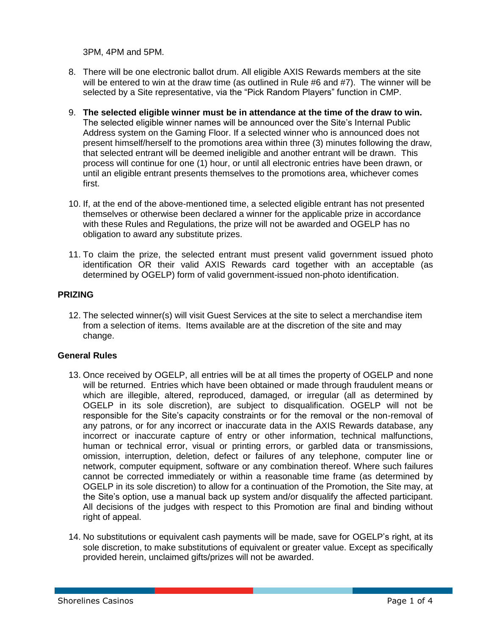3PM, 4PM and 5PM.

- 8. There will be one electronic ballot drum. All eligible AXIS Rewards members at the site will be entered to win at the draw time (as outlined in Rule #6 and #7). The winner will be selected by a Site representative, via the "Pick Random Players" function in CMP.
- 9. **The selected eligible winner must be in attendance at the time of the draw to win.** The selected eligible winner names will be announced over the Site's Internal Public Address system on the Gaming Floor. If a selected winner who is announced does not present himself/herself to the promotions area within three (3) minutes following the draw, that selected entrant will be deemed ineligible and another entrant will be drawn. This process will continue for one (1) hour, or until all electronic entries have been drawn, or until an eligible entrant presents themselves to the promotions area, whichever comes first.
- 10. If, at the end of the above-mentioned time, a selected eligible entrant has not presented themselves or otherwise been declared a winner for the applicable prize in accordance with these Rules and Regulations, the prize will not be awarded and OGELP has no obligation to award any substitute prizes.
- 11. To claim the prize, the selected entrant must present valid government issued photo identification OR their valid AXIS Rewards card together with an acceptable (as determined by OGELP) form of valid government-issued non-photo identification.

### **PRIZING**

12. The selected winner(s) will visit Guest Services at the site to select a merchandise item from a selection of items. Items available are at the discretion of the site and may change.

#### **General Rules**

- 13. Once received by OGELP, all entries will be at all times the property of OGELP and none will be returned. Entries which have been obtained or made through fraudulent means or which are illegible, altered, reproduced, damaged, or irregular (all as determined by OGELP in its sole discretion), are subject to disqualification. OGELP will not be responsible for the Site's capacity constraints or for the removal or the non-removal of any patrons, or for any incorrect or inaccurate data in the AXIS Rewards database, any incorrect or inaccurate capture of entry or other information, technical malfunctions, human or technical error, visual or printing errors, or garbled data or transmissions, omission, interruption, deletion, defect or failures of any telephone, computer line or network, computer equipment, software or any combination thereof. Where such failures cannot be corrected immediately or within a reasonable time frame (as determined by OGELP in its sole discretion) to allow for a continuation of the Promotion, the Site may, at the Site's option, use a manual back up system and/or disqualify the affected participant. All decisions of the judges with respect to this Promotion are final and binding without right of appeal.
- 14. No substitutions or equivalent cash payments will be made, save for OGELP's right, at its sole discretion, to make substitutions of equivalent or greater value. Except as specifically provided herein, unclaimed gifts/prizes will not be awarded.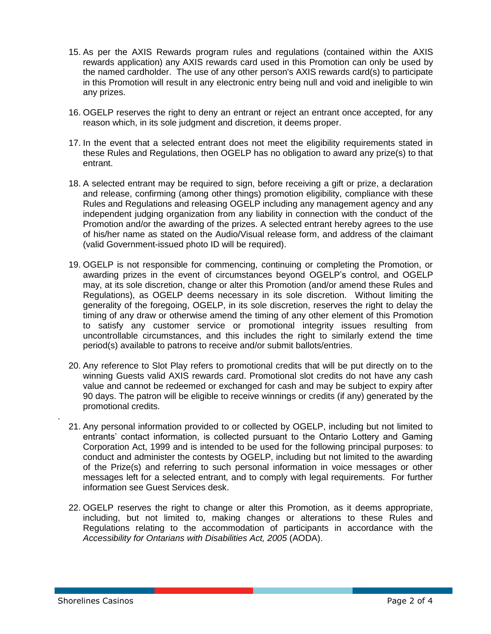- 15. As per the AXIS Rewards program rules and regulations (contained within the AXIS rewards application) any AXIS rewards card used in this Promotion can only be used by the named cardholder. The use of any other person's AXIS rewards card(s) to participate in this Promotion will result in any electronic entry being null and void and ineligible to win any prizes.
- 16. OGELP reserves the right to deny an entrant or reject an entrant once accepted, for any reason which, in its sole judgment and discretion, it deems proper.
- 17. In the event that a selected entrant does not meet the eligibility requirements stated in these Rules and Regulations, then OGELP has no obligation to award any prize(s) to that entrant.
- 18. A selected entrant may be required to sign, before receiving a gift or prize, a declaration and release, confirming (among other things) promotion eligibility, compliance with these Rules and Regulations and releasing OGELP including any management agency and any independent judging organization from any liability in connection with the conduct of the Promotion and/or the awarding of the prizes. A selected entrant hereby agrees to the use of his/her name as stated on the Audio/Visual release form, and address of the claimant (valid Government-issued photo ID will be required).
- 19. OGELP is not responsible for commencing, continuing or completing the Promotion, or awarding prizes in the event of circumstances beyond OGELP's control, and OGELP may, at its sole discretion, change or alter this Promotion (and/or amend these Rules and Regulations), as OGELP deems necessary in its sole discretion. Without limiting the generality of the foregoing, OGELP, in its sole discretion, reserves the right to delay the timing of any draw or otherwise amend the timing of any other element of this Promotion to satisfy any customer service or promotional integrity issues resulting from uncontrollable circumstances, and this includes the right to similarly extend the time period(s) available to patrons to receive and/or submit ballots/entries.
- 20. Any reference to Slot Play refers to promotional credits that will be put directly on to the winning Guests valid AXIS rewards card. Promotional slot credits do not have any cash value and cannot be redeemed or exchanged for cash and may be subject to expiry after 90 days. The patron will be eligible to receive winnings or credits (if any) generated by the promotional credits.
- 21. Any personal information provided to or collected by OGELP, including but not limited to entrants' contact information, is collected pursuant to the Ontario Lottery and Gaming Corporation Act, 1999 and is intended to be used for the following principal purposes: to conduct and administer the contests by OGELP, including but not limited to the awarding of the Prize(s) and referring to such personal information in voice messages or other messages left for a selected entrant, and to comply with legal requirements. For further information see Guest Services desk.
- 22. OGELP reserves the right to change or alter this Promotion, as it deems appropriate, including, but not limited to, making changes or alterations to these Rules and Regulations relating to the accommodation of participants in accordance with the *Accessibility for Ontarians with Disabilities Act, 2005* (AODA).

.